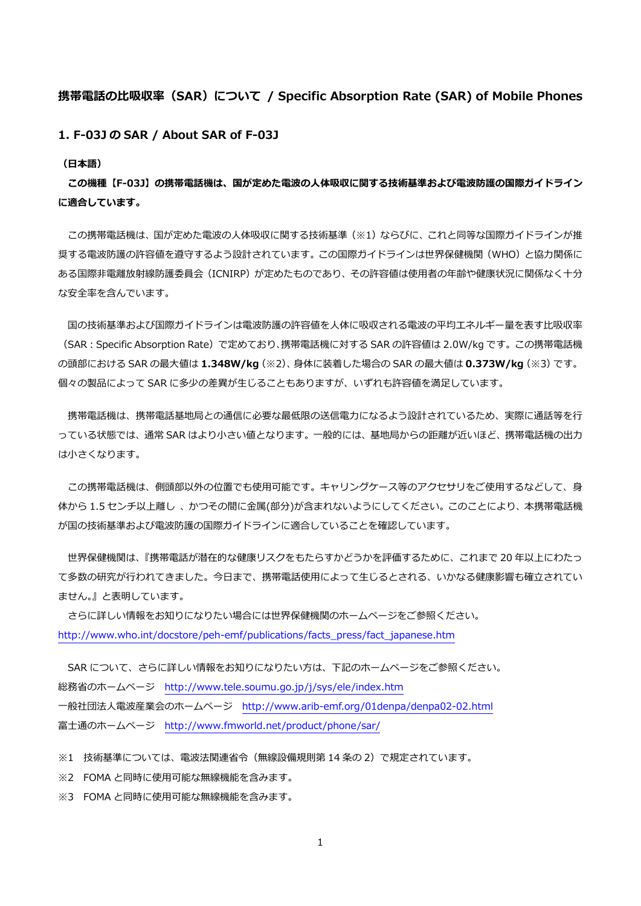## **携帯電話の⽐吸収率(SAR)について / Specific Absorption Rate (SAR) of Mobile Phones**

**1. F-03J の SAR / About SAR of F-03J** 

**(⽇本語)** 

**この機種【F-03J】の携帯電話機は、国が定めた電波の⼈体吸収に関する技術基準および電波防護の国際ガイドライン に適合しています。** 

この携帯電話機は、国が定めた電波の人体吸収に関する技術基準(※1)ならびに、これと同等な国際ガイドラインが推 奨する電波防護の許容値を遵守するよう設計されています。この国際ガイドラインは世界保健機関(WHO)と協力関係に ある国際非電離放射線防護委員会 (ICNIRP) が定めたものであり、その許容値は使用者の年齢や健康状況に関係なく十分 な安全率を含んでいます。

国の技術基準および国際ガイドラインは電波防護の許容値を人体に吸収される電波の平均エネルギー量を表す比吸収率 (SAR:Specific Absorption Rate)で定めており、携帯電話機に対する SAR の許容値は 2.0W/kg です。この携帯電話機 の頭部における SAR の最⼤値は **1.348W/kg**(※2)、⾝体に装着した場合の SAR の最⼤値は **0.373W/kg**(※3)です。 個々の製品によって SAR に多少の差異が⽣じることもありますが、いずれも許容値を満⾜しています。

携帯電話機は、携帯電話基地局との通信に必要な最低限の送信電力になるよう設計されているため、実際に通話等を行 っている状態では、通常 SAR はより小さい値となります。一般的には、基地局からの距離が近いほど、携帯電話機の出力 は⼩さくなります。

この携帯電話機は、側頭部以外の位置でも使用可能です。キャリングケース等のアクセサリをご使用するなどして、身 体から 1.5 センチ以上離し、かつその間に金属(部分)が含まれないようにしてください。このことにより、本携帯電話機 が国の技術基準および電波防護の国際ガイドラインに適合していることを確認しています。

 世界保健機関は、『携帯電話が潜在的な健康リスクをもたらすかどうかを評価するために、これまで 20 年以上にわたっ て多数の研究が行われてきました。今日まで、携帯電話使用によって生じるとされる、いかなる健康影響も確立されてい ません。』と表明しています。

 さらに詳しい情報をお知りになりたい場合には世界保健機関のホームページをご参照ください。 http://www.who.int/docstore/peh-emf/publications/facts\_press/fact\_japanese.htm

SAR について、さらに詳しい情報をお知りになりたい方は、下記のホームページをご参照ください。 総務省のホームページ http://www.tele.soumu.go.jp/j/sys/ele/index.htm ⼀般社団法⼈電波産業会のホームページ http://www.arib-emf.org/01denpa/denpa02-02.html 富士通のホームページ http://www.fmworld.net/product/phone/sar/

※1 技術基準については、電波法関連省令(無線設備規則第 14 条の 2)で規定されています。

※2 FOMA と同時に使用可能な無線機能を含みます。

※3 FOMA と同時に使用可能な無線機能を含みます。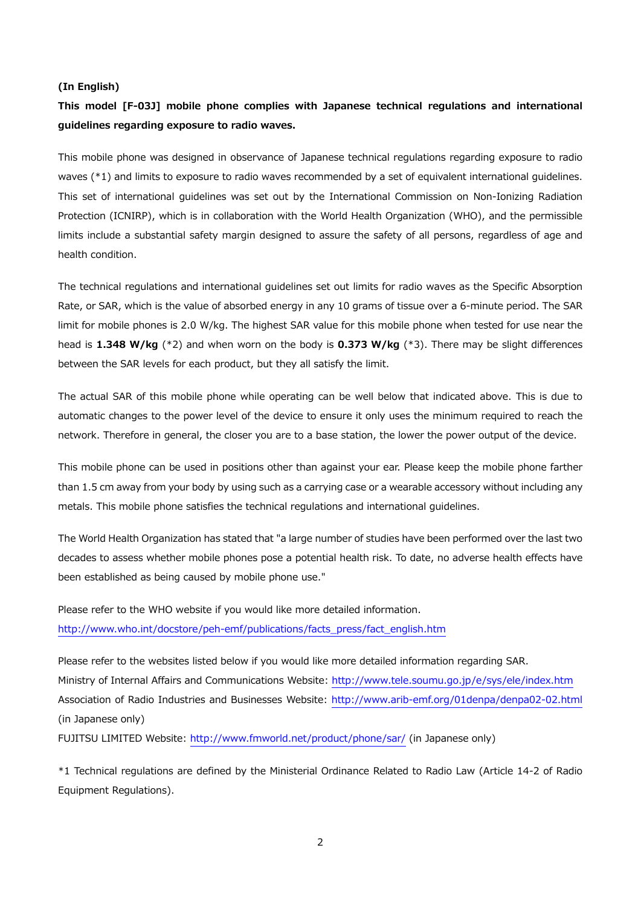## **(In English)**

## **This model [F-03J] mobile phone complies with Japanese technical regulations and international guidelines regarding exposure to radio waves.**

This mobile phone was designed in observance of Japanese technical regulations regarding exposure to radio waves (\*1) and limits to exposure to radio waves recommended by a set of equivalent international guidelines. This set of international guidelines was set out by the International Commission on Non-Ionizing Radiation Protection (ICNIRP), which is in collaboration with the World Health Organization (WHO), and the permissible limits include a substantial safety margin designed to assure the safety of all persons, regardless of age and health condition.

The technical regulations and international guidelines set out limits for radio waves as the Specific Absorption Rate, or SAR, which is the value of absorbed energy in any 10 grams of tissue over a 6-minute period. The SAR limit for mobile phones is 2.0 W/kg. The highest SAR value for this mobile phone when tested for use near the head is **1.348 W/kg** (\*2) and when worn on the body is **0.373 W/kg** (\*3). There may be slight differences between the SAR levels for each product, but they all satisfy the limit.

The actual SAR of this mobile phone while operating can be well below that indicated above. This is due to automatic changes to the power level of the device to ensure it only uses the minimum required to reach the network. Therefore in general, the closer you are to a base station, the lower the power output of the device.

This mobile phone can be used in positions other than against your ear. Please keep the mobile phone farther than 1.5 cm away from your body by using such as a carrying case or a wearable accessory without including any metals. This mobile phone satisfies the technical regulations and international guidelines.

The World Health Organization has stated that "a large number of studies have been performed over the last two decades to assess whether mobile phones pose a potential health risk. To date, no adverse health effects have been established as being caused by mobile phone use."

Please refer to the WHO website if you would like more detailed information. http://www.who.int/docstore/peh-emf/publications/facts\_press/fact\_english.htm

Please refer to the websites listed below if you would like more detailed information regarding SAR. Ministry of Internal Affairs and Communications Website: http://www.tele.soumu.go.jp/e/sys/ele/index.htm Association of Radio Industries and Businesses Website: http://www.arib-emf.org/01denpa/denpa02-02.html (in Japanese only)

FUJITSU LIMITED Website: http://www.fmworld.net/product/phone/sar/ (in Japanese only)

\*1 Technical regulations are defined by the Ministerial Ordinance Related to Radio Law (Article 14-2 of Radio Equipment Regulations).